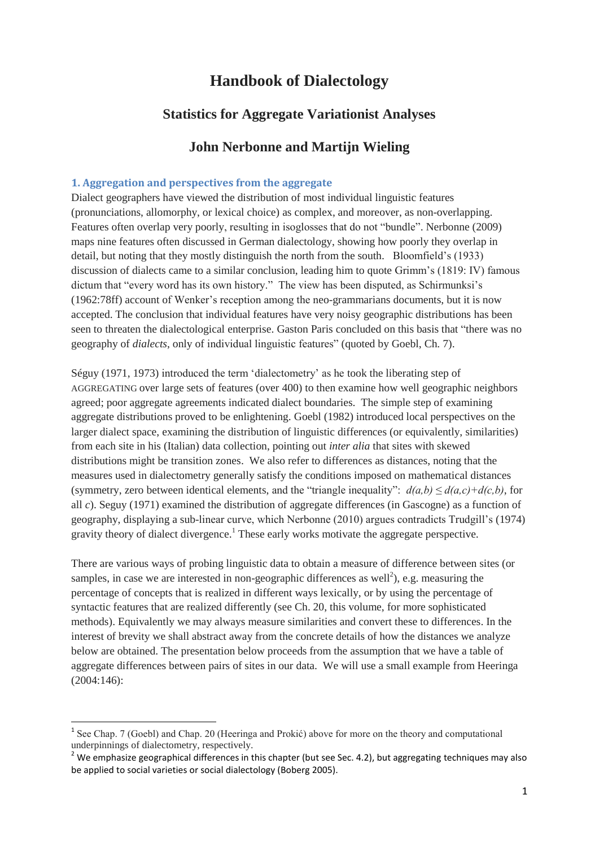# **Handbook of Dialectology**

## **Statistics for Aggregate Variationist Analyses**

## **John Nerbonne and Martijn Wieling**

#### **1. Aggregation and perspectives from the aggregate**

Dialect geographers have viewed the distribution of most individual linguistic features (pronunciations, allomorphy, or lexical choice) as complex, and moreover, as non-overlapping. Features often overlap very poorly, resulting in isoglosses that do not "bundle". Nerbonne (2009) maps nine features often discussed in German dialectology, showing how poorly they overlap in detail, but noting that they mostly distinguish the north from the south. Bloomfield's (1933) discussion of dialects came to a similar conclusion, leading him to quote Grimm's (1819: IV) famous dictum that "every word has its own history." The view has been disputed, as Schirmunksi's (1962:78ff) account of Wenker's reception among the neo-grammarians documents, but it is now accepted. The conclusion that individual features have very noisy geographic distributions has been seen to threaten the dialectological enterprise. Gaston Paris concluded on this basis that "there was no geography of *dialects*, only of individual linguistic features" (quoted by Goebl, Ch. 7).

Séguy (1971, 1973) introduced the term 'dialectometry' as he took the liberating step of AGGREGATING over large sets of features (over 400) to then examine how well geographic neighbors agreed; poor aggregate agreements indicated dialect boundaries. The simple step of examining aggregate distributions proved to be enlightening. Goebl (1982) introduced local perspectives on the larger dialect space, examining the distribution of linguistic differences (or equivalently, similarities) from each site in his (Italian) data collection, pointing out *inter alia* that sites with skewed distributions might be transition zones. We also refer to differences as distances, noting that the measures used in dialectometry generally satisfy the conditions imposed on mathematical distances (symmetry, zero between identical elements, and the "triangle inequality":  $d(a,b) \leq d(a,c) + d(c,b)$ , for all *c*). Seguy (1971) examined the distribution of aggregate differences (in Gascogne) as a function of geography, displaying a sub-linear curve, which Nerbonne (2010) argues contradicts Trudgill's (1974) gravity theory of dialect divergence.<sup>1</sup> These early works motivate the aggregate perspective.

There are various ways of probing linguistic data to obtain a measure of difference between sites (or samples, in case we are interested in non-geographic differences as well<sup>2</sup>), e.g. measuring the percentage of concepts that is realized in different ways lexically, or by using the percentage of syntactic features that are realized differently (see Ch. 20, this volume, for more sophisticated methods). Equivalently we may always measure similarities and convert these to differences. In the interest of brevity we shall abstract away from the concrete details of how the distances we analyze below are obtained. The presentation below proceeds from the assumption that we have a table of aggregate differences between pairs of sites in our data. We will use a small example from Heeringa (2004:146):

1

<sup>&</sup>lt;sup>1</sup> See Chap. 7 (Goebl) and Chap. 20 (Heeringa and Prokić) above for more on the theory and computational underpinnings of dialectometry, respectively.

 $2$  We emphasize geographical differences in this chapter (but see Sec. 4.2), but aggregating techniques may also be applied to social varieties or social dialectology (Boberg 2005).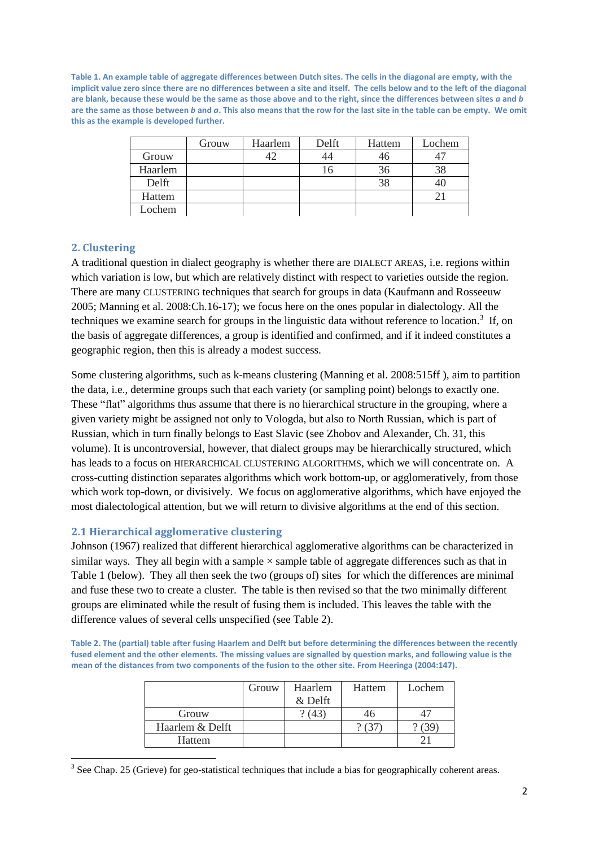**Table 1. An example table of aggregate differences between Dutch sites. The cells in the diagonal are empty, with the implicit value zero since there are no differences between a site and itself. The cells below and to the left of the diagonal are blank, because these would be the same as those above and to the right, since the differences between sites** *a* **and** *b* **are the same as those between** *b* **and** *a***. This also means that the row for the last site in the table can be empty. We omit this as the example is developed further.**

|         | Grouw | Haarlem | Delft | Hattem | Lochem |
|---------|-------|---------|-------|--------|--------|
| Grouw   |       |         |       | 46     |        |
| Haarlem |       |         | l6    | 36     | 38     |
| Delft   |       |         |       | 38     | 40     |
| Hattem  |       |         |       |        |        |
| Lochem  |       |         |       |        |        |

## **2. Clustering**

**.** 

A traditional question in dialect geography is whether there are DIALECT AREAS, i.e. regions within which variation is low, but which are relatively distinct with respect to varieties outside the region. There are many CLUSTERING techniques that search for groups in data (Kaufmann and Rosseeuw 2005; Manning et al. 2008:Ch.16-17); we focus here on the ones popular in dialectology. All the techniques we examine search for groups in the linguistic data without reference to location.<sup>3</sup> If, on the basis of aggregate differences, a group is identified and confirmed, and if it indeed constitutes a geographic region, then this is already a modest success.

Some clustering algorithms, such as k-means clustering (Manning et al. 2008:515ff ), aim to partition the data, i.e., determine groups such that each variety (or sampling point) belongs to exactly one. These "flat" algorithms thus assume that there is no hierarchical structure in the grouping, where a given variety might be assigned not only to Vologda, but also to North Russian, which is part of Russian, which in turn finally belongs to East Slavic (see Zhobov and Alexander, Ch. 31, this volume). It is uncontroversial, however, that dialect groups may be hierarchically structured, which has leads to a focus on HIERARCHICAL CLUSTERING ALGORITHMS, which we will concentrate on. A cross-cutting distinction separates algorithms which work bottom-up, or agglomeratively, from those which work top-down, or divisively. We focus on agglomerative algorithms, which have enjoyed the most dialectological attention, but we will return to divisive algorithms at the end of this section.

## **2.1 Hierarchical agglomerative clustering**

Johnson (1967) realized that different hierarchical agglomerative algorithms can be characterized in similar ways. They all begin with a sample  $\times$  sample table of aggregate differences such as that in Table 1 (below). They all then seek the two (groups of) sites for which the differences are minimal and fuse these two to create a cluster. The table is then revised so that the two minimally different groups are eliminated while the result of fusing them is included. This leaves the table with the difference values of several cells unspecified (see Table 2).

**Table 2. The (partial) table after fusing Haarlem and Delft but before determining the differences between the recently fused element and the other elements. The missing values are signalled by question marks, and following value is the mean of the distances from two components of the fusion to the other site. From Heeringa (2004:147).**

|                 | Grouw | Haarlem   | Hattem | Lochem |
|-----------------|-------|-----------|--------|--------|
|                 |       | $&$ Delft |        |        |
| Grouw           |       |           | 46     | 47     |
| Haarlem & Delft |       |           |        |        |
| Hattem          |       |           |        |        |

 $3$  See Chap. 25 (Grieve) for geo-statistical techniques that include a bias for geographically coherent areas.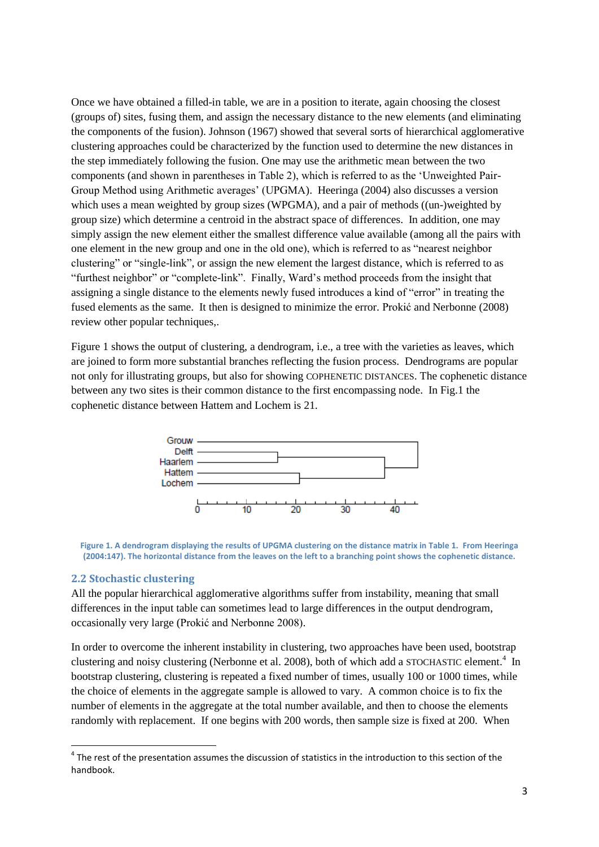Once we have obtained a filled-in table, we are in a position to iterate, again choosing the closest (groups of) sites, fusing them, and assign the necessary distance to the new elements (and eliminating the components of the fusion). Johnson (1967) showed that several sorts of hierarchical agglomerative clustering approaches could be characterized by the function used to determine the new distances in the step immediately following the fusion. One may use the arithmetic mean between the two components (and shown in parentheses in Table 2), which is referred to as the 'Unweighted Pair-Group Method using Arithmetic averages' (UPGMA). Heeringa (2004) also discusses a version which uses a mean weighted by group sizes (WPGMA), and a pair of methods ((un-)weighted by group size) which determine a centroid in the abstract space of differences. In addition, one may simply assign the new element either the smallest difference value available (among all the pairs with one element in the new group and one in the old one), which is referred to as "nearest neighbor clustering" or "single-link", or assign the new element the largest distance, which is referred to as "furthest neighbor" or "complete-link". Finally, Ward's method proceeds from the insight that assigning a single distance to the elements newly fused introduces a kind of "error" in treating the fused elements as the same. It then is designed to minimize the error. Prokić and Nerbonne (2008) review other popular techniques,.

Figure 1 shows the output of clustering, a dendrogram, i.e., a tree with the varieties as leaves, which are joined to form more substantial branches reflecting the fusion process. Dendrograms are popular not only for illustrating groups, but also for showing COPHENETIC DISTANCES. The cophenetic distance between any two sites is their common distance to the first encompassing node. In Fig.1 the cophenetic distance between Hattem and Lochem is 21.



**Figure 1. A dendrogram displaying the results of UPGMA clustering on the distance matrix in Table 1. From Heeringa (2004:147). The horizontal distance from the leaves on the left to a branching point shows the cophenetic distance.**

#### **2.2 Stochastic clustering**

1

All the popular hierarchical agglomerative algorithms suffer from instability, meaning that small differences in the input table can sometimes lead to large differences in the output dendrogram, occasionally very large (Prokić and Nerbonne 2008).

In order to overcome the inherent instability in clustering, two approaches have been used, bootstrap clustering and noisy clustering (Nerbonne et al. 2008), both of which add a STOCHASTIC element.<sup>4</sup> In bootstrap clustering, clustering is repeated a fixed number of times, usually 100 or 1000 times, while the choice of elements in the aggregate sample is allowed to vary. A common choice is to fix the number of elements in the aggregate at the total number available, and then to choose the elements randomly with replacement. If one begins with 200 words, then sample size is fixed at 200. When

 $<sup>4</sup>$  The rest of the presentation assumes the discussion of statistics in the introduction to this section of the</sup> handbook.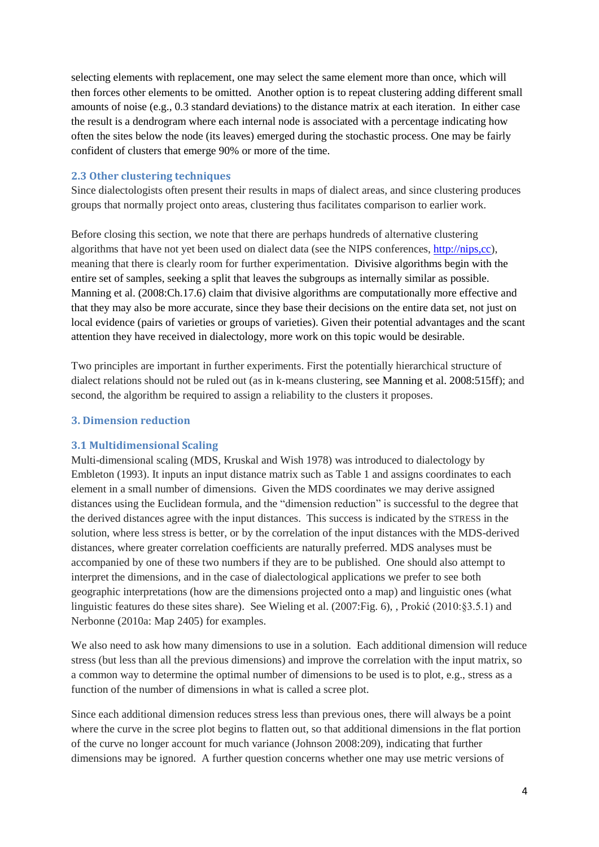selecting elements with replacement, one may select the same element more than once, which will then forces other elements to be omitted. Another option is to repeat clustering adding different small amounts of noise (e.g., 0.3 standard deviations) to the distance matrix at each iteration. In either case the result is a dendrogram where each internal node is associated with a percentage indicating how often the sites below the node (its leaves) emerged during the stochastic process. One may be fairly confident of clusters that emerge 90% or more of the time.

#### **2.3 Other clustering techniques**

Since dialectologists often present their results in maps of dialect areas, and since clustering produces groups that normally project onto areas, clustering thus facilitates comparison to earlier work.

Before closing this section, we note that there are perhaps hundreds of alternative clustering algorithms that have not yet been used on dialect data (see the NIPS conferences, [http://nips,cc\)](http://nips,cc/), meaning that there is clearly room for further experimentation. Divisive algorithms begin with the entire set of samples, seeking a split that leaves the subgroups as internally similar as possible. Manning et al. (2008:Ch.17.6) claim that divisive algorithms are computationally more effective and that they may also be more accurate, since they base their decisions on the entire data set, not just on local evidence (pairs of varieties or groups of varieties). Given their potential advantages and the scant attention they have received in dialectology, more work on this topic would be desirable.

Two principles are important in further experiments. First the potentially hierarchical structure of dialect relations should not be ruled out (as in k-means clustering, see Manning et al. 2008:515ff); and second, the algorithm be required to assign a reliability to the clusters it proposes.

### **3. Dimension reduction**

#### **3.1 Multidimensional Scaling**

Multi-dimensional scaling (MDS, Kruskal and Wish 1978) was introduced to dialectology by Embleton (1993). It inputs an input distance matrix such as Table 1 and assigns coordinates to each element in a small number of dimensions. Given the MDS coordinates we may derive assigned distances using the Euclidean formula, and the "dimension reduction" is successful to the degree that the derived distances agree with the input distances. This success is indicated by the STRESS in the solution, where less stress is better, or by the correlation of the input distances with the MDS-derived distances, where greater correlation coefficients are naturally preferred. MDS analyses must be accompanied by one of these two numbers if they are to be published. One should also attempt to interpret the dimensions, and in the case of dialectological applications we prefer to see both geographic interpretations (how are the dimensions projected onto a map) and linguistic ones (what linguistic features do these sites share). See Wieling et al. (2007:Fig. 6), , Prokić (2010:§3.5.1) and Nerbonne (2010a: Map 2405) for examples.

We also need to ask how many dimensions to use in a solution. Each additional dimension will reduce stress (but less than all the previous dimensions) and improve the correlation with the input matrix, so a common way to determine the optimal number of dimensions to be used is to plot, e.g., stress as a function of the number of dimensions in what is called a scree plot.

Since each additional dimension reduces stress less than previous ones, there will always be a point where the curve in the scree plot begins to flatten out, so that additional dimensions in the flat portion of the curve no longer account for much variance (Johnson 2008:209), indicating that further dimensions may be ignored. A further question concerns whether one may use metric versions of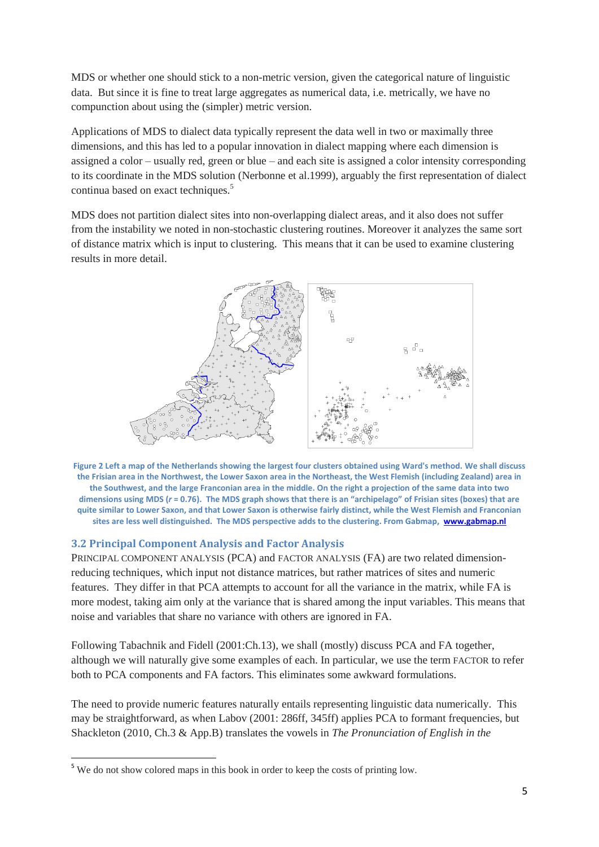MDS or whether one should stick to a non-metric version, given the categorical nature of linguistic data. But since it is fine to treat large aggregates as numerical data, i.e. metrically, we have no compunction about using the (simpler) metric version.

Applications of MDS to dialect data typically represent the data well in two or maximally three dimensions, and this has led to a popular innovation in dialect mapping where each dimension is assigned a color – usually red, green or blue – and each site is assigned a color intensity corresponding to its coordinate in the MDS solution (Nerbonne et al.1999), arguably the first representation of dialect continua based on exact techniques.<sup>5</sup>

MDS does not partition dialect sites into non-overlapping dialect areas, and it also does not suffer from the instability we noted in non-stochastic clustering routines. Moreover it analyzes the same sort of distance matrix which is input to clustering. This means that it can be used to examine clustering results in more detail.



**Figure 2 Left a map of the Netherlands showing the largest four clusters obtained using Ward's method. We shall discuss the Frisian area in the Northwest, the Lower Saxon area in the Northeast, the West Flemish (including Zealand) area in the Southwest, and the large Franconian area in the middle. On the right a projection of the same data into two dimensions using MDS (***r* **= 0.76). The MDS graph shows that there is an "archipelago" of Frisian sites (boxes) that are quite similar to Lower Saxon, and that Lower Saxon is otherwise fairly distinct, while the West Flemish and Franconian sites are less well distinguished. The MDS perspective adds to the clustering. From Gabmap, [www.gabmap.nl](http://www.gabmap.nl/)**

## **3.2 Principal Component Analysis and Factor Analysis**

PRINCIPAL COMPONENT ANALYSIS (PCA) and FACTOR ANALYSIS (FA) are two related dimensionreducing techniques, which input not distance matrices, but rather matrices of sites and numeric features. They differ in that PCA attempts to account for all the variance in the matrix, while FA is more modest, taking aim only at the variance that is shared among the input variables. This means that noise and variables that share no variance with others are ignored in FA.

Following Tabachnik and Fidell (2001:Ch.13), we shall (mostly) discuss PCA and FA together, although we will naturally give some examples of each. In particular, we use the term FACTOR to refer both to PCA components and FA factors. This eliminates some awkward formulations.

The need to provide numeric features naturally entails representing linguistic data numerically. This may be straightforward, as when Labov (2001: 286ff, 345ff) applies PCA to formant frequencies, but Shackleton (2010, Ch.3 & App.B) translates the vowels in *The Pronunciation of English in the* 

**.** 

<sup>&</sup>lt;sup>5</sup> We do not show colored maps in this book in order to keep the costs of printing low.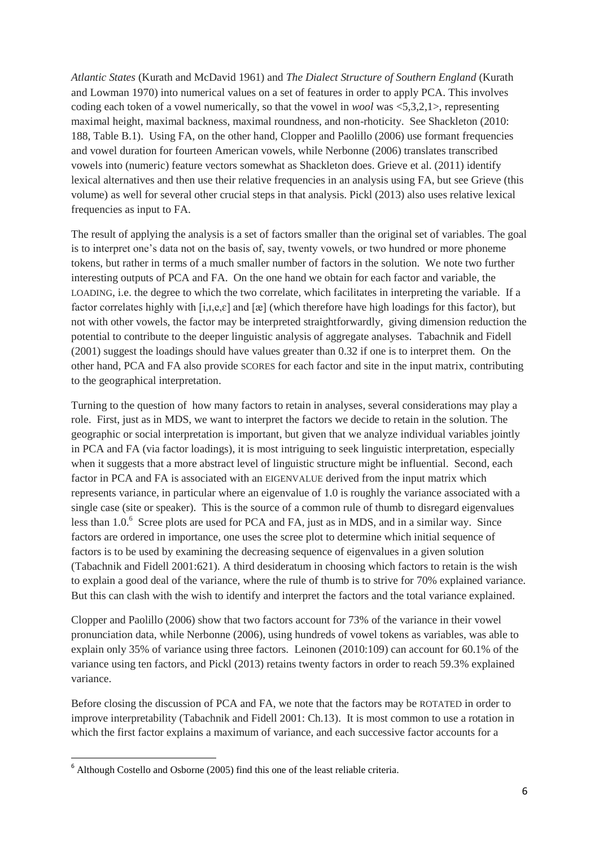*Atlantic States* (Kurath and McDavid 1961) and *The Dialect Structure of Southern England* (Kurath and Lowman 1970) into numerical values on a set of features in order to apply PCA. This involves coding each token of a vowel numerically, so that the vowel in *wool* was <5,3,2,1>, representing maximal height, maximal backness, maximal roundness, and non-rhoticity. See Shackleton (2010: 188, Table B.1). Using FA, on the other hand, Clopper and Paolillo (2006) use formant frequencies and vowel duration for fourteen American vowels, while Nerbonne (2006) translates transcribed vowels into (numeric) feature vectors somewhat as Shackleton does. Grieve et al. (2011) identify lexical alternatives and then use their relative frequencies in an analysis using FA, but see Grieve (this volume) as well for several other crucial steps in that analysis. Pickl (2013) also uses relative lexical frequencies as input to FA.

The result of applying the analysis is a set of factors smaller than the original set of variables. The goal is to interpret one's data not on the basis of, say, twenty vowels, or two hundred or more phoneme tokens, but rather in terms of a much smaller number of factors in the solution. We note two further interesting outputs of PCA and FA. On the one hand we obtain for each factor and variable, the LOADING, i.e. the degree to which the two correlate, which facilitates in interpreting the variable. If a factor correlates highly with  $[i, i, e, \varepsilon]$  and  $[\infty]$  (which therefore have high loadings for this factor), but not with other vowels, the factor may be interpreted straightforwardly, giving dimension reduction the potential to contribute to the deeper linguistic analysis of aggregate analyses. Tabachnik and Fidell (2001) suggest the loadings should have values greater than 0.32 if one is to interpret them. On the other hand, PCA and FA also provide SCORES for each factor and site in the input matrix, contributing to the geographical interpretation.

Turning to the question of how many factors to retain in analyses, several considerations may play a role. First, just as in MDS, we want to interpret the factors we decide to retain in the solution. The geographic or social interpretation is important, but given that we analyze individual variables jointly in PCA and FA (via factor loadings), it is most intriguing to seek linguistic interpretation, especially when it suggests that a more abstract level of linguistic structure might be influential. Second, each factor in PCA and FA is associated with an EIGENVALUE derived from the input matrix which represents variance, in particular where an eigenvalue of 1.0 is roughly the variance associated with a single case (site or speaker). This is the source of a common rule of thumb to disregard eigenvalues less than 1.0.<sup>6</sup> Scree plots are used for PCA and FA, just as in MDS, and in a similar way. Since factors are ordered in importance, one uses the scree plot to determine which initial sequence of factors is to be used by examining the decreasing sequence of eigenvalues in a given solution (Tabachnik and Fidell 2001:621). A third desideratum in choosing which factors to retain is the wish to explain a good deal of the variance, where the rule of thumb is to strive for 70% explained variance. But this can clash with the wish to identify and interpret the factors and the total variance explained.

Clopper and Paolillo (2006) show that two factors account for 73% of the variance in their vowel pronunciation data, while Nerbonne (2006), using hundreds of vowel tokens as variables, was able to explain only 35% of variance using three factors. Leinonen (2010:109) can account for 60.1% of the variance using ten factors, and Pickl (2013) retains twenty factors in order to reach 59.3% explained variance.

Before closing the discussion of PCA and FA, we note that the factors may be ROTATED in order to improve interpretability (Tabachnik and Fidell 2001: Ch.13). It is most common to use a rotation in which the first factor explains a maximum of variance, and each successive factor accounts for a

**.** 

 $6$  Although Costello and Osborne (2005) find this one of the least reliable criteria.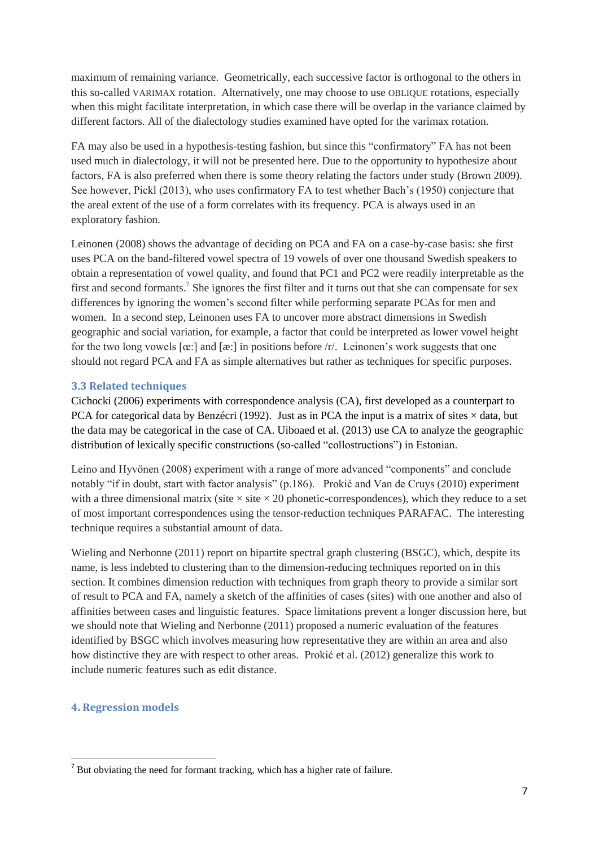maximum of remaining variance. Geometrically, each successive factor is orthogonal to the others in this so-called VARIMAX rotation. Alternatively, one may choose to use OBLIQUE rotations, especially when this might facilitate interpretation, in which case there will be overlap in the variance claimed by different factors. All of the dialectology studies examined have opted for the varimax rotation.

FA may also be used in a hypothesis-testing fashion, but since this "confirmatory" FA has not been used much in dialectology, it will not be presented here. Due to the opportunity to hypothesize about factors, FA is also preferred when there is some theory relating the factors under study (Brown 2009). See however, Pickl (2013), who uses confirmatory FA to test whether Bach's (1950) conjecture that the areal extent of the use of a form correlates with its frequency. PCA is always used in an exploratory fashion.

Leinonen (2008) shows the advantage of deciding on PCA and FA on a case-by-case basis: she first uses PCA on the band-filtered vowel spectra of 19 vowels of over one thousand Swedish speakers to obtain a representation of vowel quality, and found that PC1 and PC2 were readily interpretable as the first and second formants.<sup>7</sup> She ignores the first filter and it turns out that she can compensate for sex differences by ignoring the women's second filter while performing separate PCAs for men and women. In a second step, Leinonen uses FA to uncover more abstract dimensions in Swedish geographic and social variation, for example, a factor that could be interpreted as lower vowel height for the two long vowels  $[\alpha:]$  and  $[\alpha:]$  in positions before /r/. Leinonen's work suggests that one should not regard PCA and FA as simple alternatives but rather as techniques for specific purposes.

### **3.3 Related techniques**

Cichocki (2006) experiments with correspondence analysis (CA), first developed as a counterpart to PCA for categorical data by Benzécri (1992). Just as in PCA the input is a matrix of sites  $\times$  data, but the data may be categorical in the case of CA. Uiboaed et al. (2013) use CA to analyze the geographic distribution of lexically specific constructions (so-called "collostructions") in Estonian.

Leino and Hyvönen (2008) experiment with a range of more advanced "components" and conclude notably "if in doubt, start with factor analysis" (p.186). Prokić and Van de Cruys (2010) experiment with a three dimensional matrix (site  $\times$  site  $\times$  20 phonetic-correspondences), which they reduce to a set of most important correspondences using the tensor-reduction techniques PARAFAC. The interesting technique requires a substantial amount of data.

Wieling and Nerbonne (2011) report on bipartite spectral graph clustering (BSGC), which, despite its name, is less indebted to clustering than to the dimension-reducing techniques reported on in this section. It combines dimension reduction with techniques from graph theory to provide a similar sort of result to PCA and FA, namely a sketch of the affinities of cases (sites) with one another and also of affinities between cases and linguistic features. Space limitations prevent a longer discussion here, but we should note that Wieling and Nerbonne (2011) proposed a numeric evaluation of the features identified by BSGC which involves measuring how representative they are within an area and also how distinctive they are with respect to other areas. Prokić et al. (2012) generalize this work to include numeric features such as edit distance.

#### **4. Regression models**

**.** 

 $<sup>7</sup>$  But obviating the need for formant tracking, which has a higher rate of failure.</sup>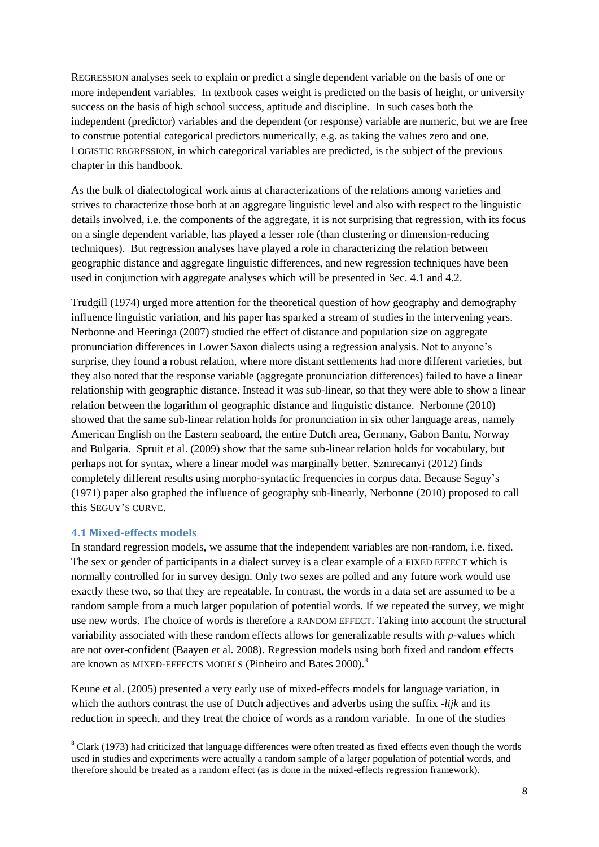REGRESSION analyses seek to explain or predict a single dependent variable on the basis of one or more independent variables. In textbook cases weight is predicted on the basis of height, or university success on the basis of high school success, aptitude and discipline. In such cases both the independent (predictor) variables and the dependent (or response) variable are numeric, but we are free to construe potential categorical predictors numerically, e.g. as taking the values zero and one. LOGISTIC REGRESSION, in which categorical variables are predicted, is the subject of the previous chapter in this handbook.

As the bulk of dialectological work aims at characterizations of the relations among varieties and strives to characterize those both at an aggregate linguistic level and also with respect to the linguistic details involved, i.e. the components of the aggregate, it is not surprising that regression, with its focus on a single dependent variable, has played a lesser role (than clustering or dimension-reducing techniques). But regression analyses have played a role in characterizing the relation between geographic distance and aggregate linguistic differences, and new regression techniques have been used in conjunction with aggregate analyses which will be presented in Sec. 4.1 and 4.2.

Trudgill (1974) urged more attention for the theoretical question of how geography and demography influence linguistic variation, and his paper has sparked a stream of studies in the intervening years. Nerbonne and Heeringa (2007) studied the effect of distance and population size on aggregate pronunciation differences in Lower Saxon dialects using a regression analysis. Not to anyone's surprise, they found a robust relation, where more distant settlements had more different varieties, but they also noted that the response variable (aggregate pronunciation differences) failed to have a linear relationship with geographic distance. Instead it was sub-linear, so that they were able to show a linear relation between the logarithm of geographic distance and linguistic distance. Nerbonne (2010) showed that the same sub-linear relation holds for pronunciation in six other language areas, namely American English on the Eastern seaboard, the entire Dutch area, Germany, Gabon Bantu, Norway and Bulgaria. Spruit et al. (2009) show that the same sub-linear relation holds for vocabulary, but perhaps not for syntax, where a linear model was marginally better. Szmrecanyi (2012) finds completely different results using morpho-syntactic frequencies in corpus data. Because Seguy's (1971) paper also graphed the influence of geography sub-linearly, Nerbonne (2010) proposed to call this SEGUY'S CURVE.

## **4.1 Mixed-effects models**

 $\overline{a}$ 

In standard regression models, we assume that the independent variables are non-random, i.e. fixed. The sex or gender of participants in a dialect survey is a clear example of a FIXED EFFECT which is normally controlled for in survey design. Only two sexes are polled and any future work would use exactly these two, so that they are repeatable. In contrast, the words in a data set are assumed to be a random sample from a much larger population of potential words. If we repeated the survey, we might use new words. The choice of words is therefore a RANDOM EFFECT. Taking into account the structural variability associated with these random effects allows for generalizable results with *p*-values which are not over-confident (Baayen et al. 2008). Regression models using both fixed and random effects are known as MIXED-EFFECTS MODELS (Pinheiro and Bates 2000).<sup>8</sup>

Keune et al. (2005) presented a very early use of mixed-effects models for language variation, in which the authors contrast the use of Dutch adjectives and adverbs using the suffix *-lijk* and its reduction in speech, and they treat the choice of words as a random variable. In one of the studies

 $8$  Clark (1973) had criticized that language differences were often treated as fixed effects even though the words used in studies and experiments were actually a random sample of a larger population of potential words, and therefore should be treated as a random effect (as is done in the mixed-effects regression framework).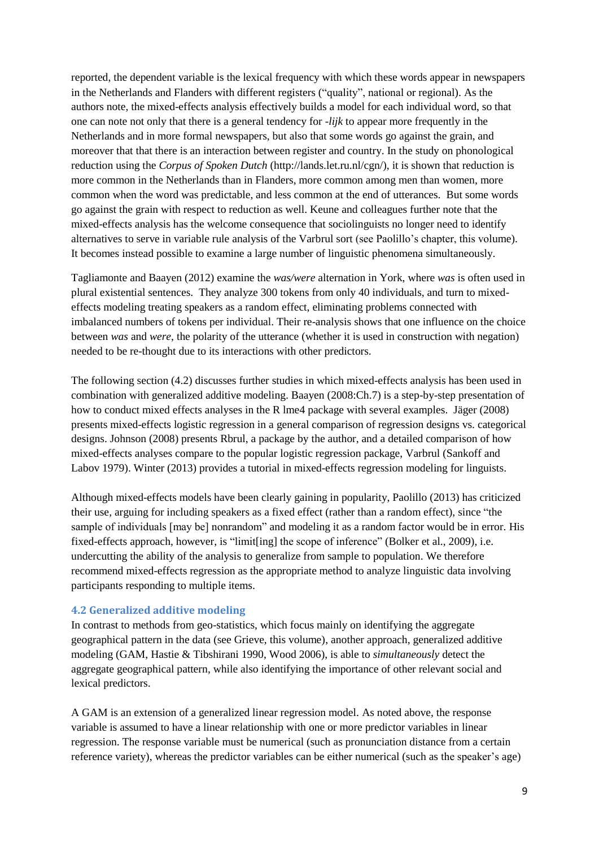reported, the dependent variable is the lexical frequency with which these words appear in newspapers in the Netherlands and Flanders with different registers ("quality", national or regional). As the authors note, the mixed-effects analysis effectively builds a model for each individual word, so that one can note not only that there is a general tendency for *-lijk* to appear more frequently in the Netherlands and in more formal newspapers, but also that some words go against the grain, and moreover that that there is an interaction between register and country. In the study on phonological reduction using the *Corpus of Spoken Dutch* (http://lands.let.ru.nl/cgn/), it is shown that reduction is more common in the Netherlands than in Flanders, more common among men than women, more common when the word was predictable, and less common at the end of utterances. But some words go against the grain with respect to reduction as well. Keune and colleagues further note that the mixed-effects analysis has the welcome consequence that sociolinguists no longer need to identify alternatives to serve in variable rule analysis of the Varbrul sort (see Paolillo's chapter, this volume). It becomes instead possible to examine a large number of linguistic phenomena simultaneously.

Tagliamonte and Baayen (2012) examine the *was/were* alternation in York, where *was* is often used in plural existential sentences. They analyze 300 tokens from only 40 individuals, and turn to mixedeffects modeling treating speakers as a random effect, eliminating problems connected with imbalanced numbers of tokens per individual. Their re-analysis shows that one influence on the choice between *was* and *were*, the polarity of the utterance (whether it is used in construction with negation) needed to be re-thought due to its interactions with other predictors.

The following section (4.2) discusses further studies in which mixed-effects analysis has been used in combination with generalized additive modeling. Baayen (2008:Ch.7) is a step-by-step presentation of how to conduct mixed effects analyses in the R lme4 package with several examples. Jäger (2008) presents mixed-effects logistic regression in a general comparison of regression designs vs. categorical designs. Johnson (2008) presents Rbrul, a package by the author, and a detailed comparison of how mixed-effects analyses compare to the popular logistic regression package, Varbrul (Sankoff and Labov 1979). Winter (2013) provides a tutorial in mixed-effects regression modeling for linguists.

Although mixed-effects models have been clearly gaining in popularity, Paolillo (2013) has criticized their use, arguing for including speakers as a fixed effect (rather than a random effect), since "the sample of individuals [may be] nonrandom" and modeling it as a random factor would be in error. His fixed-effects approach, however, is "limit[ing] the scope of inference" (Bolker et al., 2009), i.e. undercutting the ability of the analysis to generalize from sample to population. We therefore recommend mixed-effects regression as the appropriate method to analyze linguistic data involving participants responding to multiple items.

#### **4.2 Generalized additive modeling**

In contrast to methods from geo-statistics, which focus mainly on identifying the aggregate geographical pattern in the data (see Grieve, this volume), another approach, generalized additive modeling (GAM, Hastie & Tibshirani 1990, Wood 2006), is able to *simultaneously* detect the aggregate geographical pattern, while also identifying the importance of other relevant social and lexical predictors.

A GAM is an extension of a generalized linear regression model. As noted above, the response variable is assumed to have a linear relationship with one or more predictor variables in linear regression. The response variable must be numerical (such as pronunciation distance from a certain reference variety), whereas the predictor variables can be either numerical (such as the speaker's age)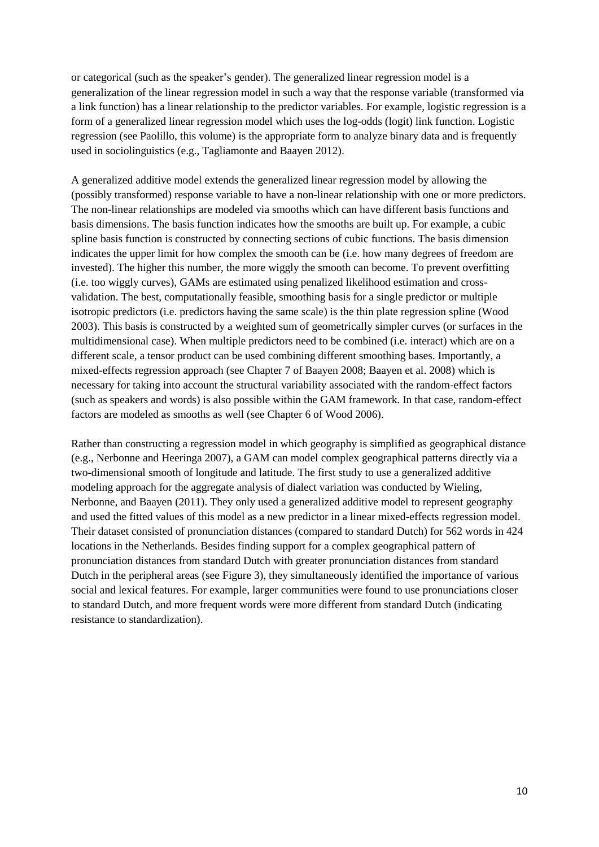or categorical (such as the speaker's gender). The generalized linear regression model is a generalization of the linear regression model in such a way that the response variable (transformed via a link function) has a linear relationship to the predictor variables. For example, logistic regression is a form of a generalized linear regression model which uses the log-odds (logit) link function. Logistic regression (see Paolillo, this volume) is the appropriate form to analyze binary data and is frequently used in sociolinguistics (e.g., Tagliamonte and Baayen 2012).

A generalized additive model extends the generalized linear regression model by allowing the (possibly transformed) response variable to have a non-linear relationship with one or more predictors. The non-linear relationships are modeled via smooths which can have different basis functions and basis dimensions. The basis function indicates how the smooths are built up. For example, a cubic spline basis function is constructed by connecting sections of cubic functions. The basis dimension indicates the upper limit for how complex the smooth can be (i.e. how many degrees of freedom are invested). The higher this number, the more wiggly the smooth can become. To prevent overfitting (i.e. too wiggly curves), GAMs are estimated using penalized likelihood estimation and crossvalidation. The best, computationally feasible, smoothing basis for a single predictor or multiple isotropic predictors (i.e. predictors having the same scale) is the thin plate regression spline (Wood 2003). This basis is constructed by a weighted sum of geometrically simpler curves (or surfaces in the multidimensional case). When multiple predictors need to be combined (i.e. interact) which are on a different scale, a tensor product can be used combining different smoothing bases. Importantly, a mixed-effects regression approach (see Chapter 7 of Baayen 2008; Baayen et al. 2008) which is necessary for taking into account the structural variability associated with the random-effect factors (such as speakers and words) is also possible within the GAM framework. In that case, random-effect factors are modeled as smooths as well (see Chapter 6 of Wood 2006).

Rather than constructing a regression model in which geography is simplified as geographical distance (e.g., Nerbonne and Heeringa 2007), a GAM can model complex geographical patterns directly via a two-dimensional smooth of longitude and latitude. The first study to use a generalized additive modeling approach for the aggregate analysis of dialect variation was conducted by Wieling, Nerbonne, and Baayen (2011). They only used a generalized additive model to represent geography and used the fitted values of this model as a new predictor in a linear mixed-effects regression model. Their dataset consisted of pronunciation distances (compared to standard Dutch) for 562 words in 424 locations in the Netherlands. Besides finding support for a complex geographical pattern of pronunciation distances from standard Dutch with greater pronunciation distances from standard Dutch in the peripheral areas (see Figure 3), they simultaneously identified the importance of various social and lexical features. For example, larger communities were found to use pronunciations closer to standard Dutch, and more frequent words were more different from standard Dutch (indicating resistance to standardization).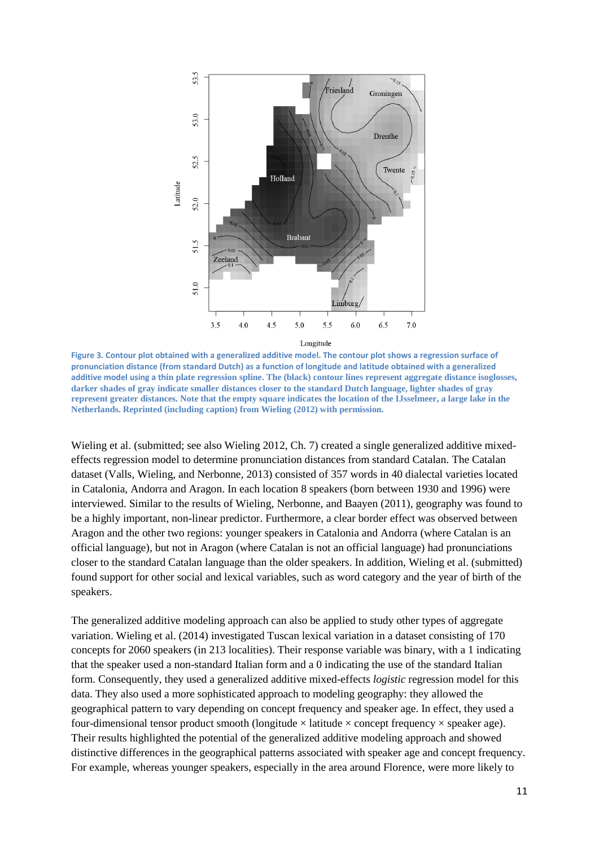

**Figure 3. Contour plot obtained with a generalized additive model. The contour plot shows a regression surface of pronunciation distance (from standard Dutch) as a function of longitude and latitude obtained with a generalized additive model using a thin plate regression spline. The (black) contour lines represent aggregate distance isoglosses, darker shades of gray indicate smaller distances closer to the standard Dutch language, lighter shades of gray represent greater distances. Note that the empty square indicates the location of the IJsselmeer, a large lake in the Netherlands. Reprinted (including caption) from Wieling (2012) with permission.**

Wieling et al. (submitted; see also Wieling 2012, Ch. 7) created a single generalized additive mixedeffects regression model to determine pronunciation distances from standard Catalan. The Catalan dataset (Valls, Wieling, and Nerbonne, 2013) consisted of 357 words in 40 dialectal varieties located in Catalonia, Andorra and Aragon. In each location 8 speakers (born between 1930 and 1996) were interviewed. Similar to the results of Wieling, Nerbonne, and Baayen (2011), geography was found to be a highly important, non-linear predictor. Furthermore, a clear border effect was observed between Aragon and the other two regions: younger speakers in Catalonia and Andorra (where Catalan is an official language), but not in Aragon (where Catalan is not an official language) had pronunciations closer to the standard Catalan language than the older speakers. In addition, Wieling et al. (submitted) found support for other social and lexical variables, such as word category and the year of birth of the speakers.

The generalized additive modeling approach can also be applied to study other types of aggregate variation. Wieling et al. (2014) investigated Tuscan lexical variation in a dataset consisting of 170 concepts for 2060 speakers (in 213 localities). Their response variable was binary, with a 1 indicating that the speaker used a non-standard Italian form and a 0 indicating the use of the standard Italian form. Consequently, they used a generalized additive mixed-effects *logistic* regression model for this data. They also used a more sophisticated approach to modeling geography: they allowed the geographical pattern to vary depending on concept frequency and speaker age. In effect, they used a four-dimensional tensor product smooth (longitude  $\times$  latitude  $\times$  concept frequency  $\times$  speaker age). Their results highlighted the potential of the generalized additive modeling approach and showed distinctive differences in the geographical patterns associated with speaker age and concept frequency. For example, whereas younger speakers, especially in the area around Florence, were more likely to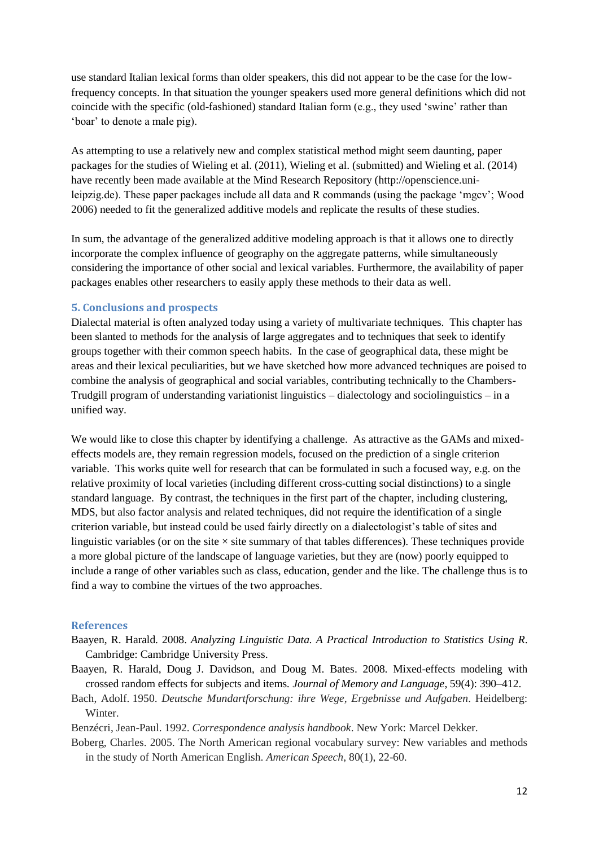use standard Italian lexical forms than older speakers, this did not appear to be the case for the lowfrequency concepts. In that situation the younger speakers used more general definitions which did not coincide with the specific (old-fashioned) standard Italian form (e.g., they used 'swine' rather than 'boar' to denote a male pig).

As attempting to use a relatively new and complex statistical method might seem daunting, paper packages for the studies of Wieling et al. (2011), Wieling et al. (submitted) and Wieling et al. (2014) have recently been made available at the Mind Research Repository (http://openscience.unileipzig.de). These paper packages include all data and R commands (using the package 'mgcv'; Wood 2006) needed to fit the generalized additive models and replicate the results of these studies.

In sum, the advantage of the generalized additive modeling approach is that it allows one to directly incorporate the complex influence of geography on the aggregate patterns, while simultaneously considering the importance of other social and lexical variables. Furthermore, the availability of paper packages enables other researchers to easily apply these methods to their data as well.

#### **5. Conclusions and prospects**

Dialectal material is often analyzed today using a variety of multivariate techniques. This chapter has been slanted to methods for the analysis of large aggregates and to techniques that seek to identify groups together with their common speech habits. In the case of geographical data, these might be areas and their lexical peculiarities, but we have sketched how more advanced techniques are poised to combine the analysis of geographical and social variables, contributing technically to the Chambers-Trudgill program of understanding variationist linguistics – dialectology and sociolinguistics – in a unified way.

We would like to close this chapter by identifying a challenge. As attractive as the GAMs and mixedeffects models are, they remain regression models, focused on the prediction of a single criterion variable. This works quite well for research that can be formulated in such a focused way, e.g. on the relative proximity of local varieties (including different cross-cutting social distinctions) to a single standard language. By contrast, the techniques in the first part of the chapter, including clustering, MDS, but also factor analysis and related techniques, did not require the identification of a single criterion variable, but instead could be used fairly directly on a dialectologist's table of sites and linguistic variables (or on the site  $\times$  site summary of that tables differences). These techniques provide a more global picture of the landscape of language varieties, but they are (now) poorly equipped to include a range of other variables such as class, education, gender and the like. The challenge thus is to find a way to combine the virtues of the two approaches.

#### **References**

- Baayen, R. Harald. 2008. *Analyzing Linguistic Data. A Practical Introduction to Statistics Using R*. Cambridge: Cambridge University Press.
- Baayen, R. Harald, Doug J. Davidson, and Doug M. Bates. 2008. Mixed-effects modeling with crossed random effects for subjects and items*. Journal of Memory and Language*, 59(4): 390–412.
- Bach, Adolf. 1950. *Deutsche Mundartforschung: ihre Wege, Ergebnisse und Aufgaben*. Heidelberg: Winter.

Benzécri, Jean-Paul. 1992. *Correspondence analysis handbook*. New York: Marcel Dekker.

Boberg, Charles. 2005. The North American regional vocabulary survey: New variables and methods in the study of North American English. *American Speech*, 80(1), 22-60.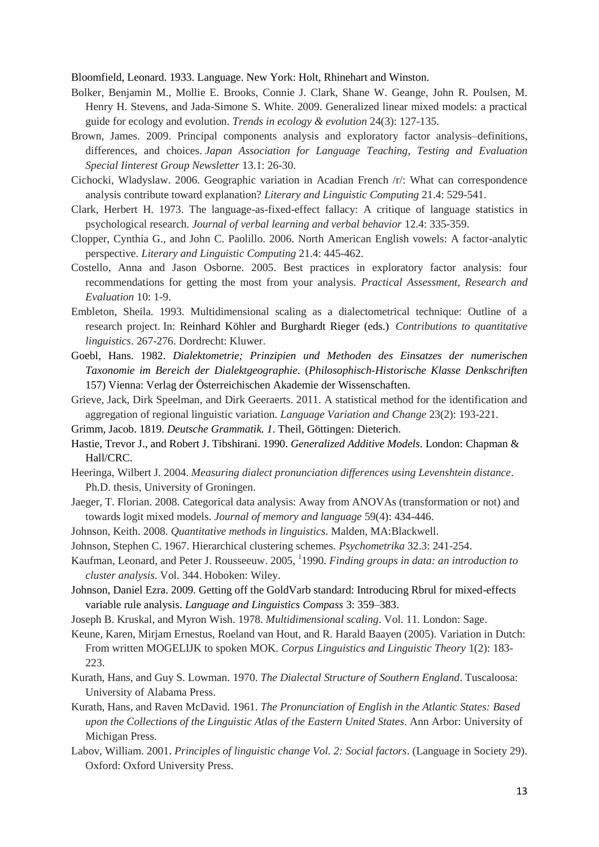Bloomfield, Leonard. 1933. Language. New York: Holt, Rhinehart and Winston.

- Bolker, Benjamin M., Mollie E. Brooks, Connie J. Clark, Shane W. Geange, John R. Poulsen, M. Henry H. Stevens, and Jada-Simone S. White. 2009. Generalized linear mixed models: a practical guide for ecology and evolution. *Trends in ecology & evolution* 24(3): 127-135.
- Brown, James. 2009. Principal components analysis and exploratory factor analysis–definitions, differences, and choices. *Japan Association for Language Teaching, Testing and Evaluation Special Iinterest Group Newsletter* 13.1: 26-30.
- Cichocki, Wladyslaw. 2006. Geographic variation in Acadian French /r/: What can correspondence analysis contribute toward explanation? *Literary and Linguistic Computing* 21.4: 529-541.
- Clark, Herbert H. 1973. The language-as-fixed-effect fallacy: A critique of language statistics in psychological research. *Journal of verbal learning and verbal behavior* 12.4: 335-359.
- Clopper, Cynthia G., and John C. Paolillo. 2006. North American English vowels: A factor-analytic perspective. *Literary and Linguistic Computing* 21.4: 445-462.
- Costello, Anna and Jason Osborne. 2005. Best practices in exploratory factor analysis: four recommendations for getting the most from your analysis. *Practical Assessment, Research and Evaluation* 10: 1-9.
- Embleton, Sheila. 1993. Multidimensional scaling as a dialectometrical technique: Outline of a research project. In: Reinhard Köhler and Burghardt Rieger (eds.) *Contributions to quantitative linguistics*. 267-276. Dordrecht: Kluwer.
- Goebl, Hans. 1982. *Dialektometrie; Prinzipien und Methoden des Einsatzes der numerischen Taxonomie im Bereich der Dialektgeographie*. (*Philosophisch-Historische Klasse Denkschriften* 157) Vienna: Verlag der Österreichischen Akademie der Wissenschaften.
- Grieve, Jack, Dirk Speelman, and Dirk Geeraerts. 2011. A statistical method for the identification and aggregation of regional linguistic variation. *Language Variation and Change* 23(2): 193-221.
- Grimm, Jacob. 1819. *Deutsche Grammatik. 1*. Theil, Göttingen: Dieterich.
- Hastie, Trevor J., and Robert J. Tibshirani. 1990. *Generalized Additive Models*. London: Chapman & Hall/CRC.
- Heeringa, Wilbert J. 2004. *Measuring dialect pronunciation differences using Levenshtein distance*. Ph.D. thesis, University of Groningen.
- Jaeger, T. Florian. 2008. Categorical data analysis: Away from ANOVAs (transformation or not) and towards logit mixed models. *Journal of memory and language* 59(4): 434-446.
- Johnson, Keith. 2008. *Quantitative methods in linguistics*. Malden, MA:Blackwell.
- Johnson, Stephen C. 1967. Hierarchical clustering schemes. *Psychometrika* 32.3: 241-254.
- Kaufman, Leonard, and Peter J. Rousseeuw. 2005, <sup>1</sup>1990. *Finding groups in data: an introduction to cluster analysis*. Vol. 344. Hoboken: Wiley.
- Johnson, Daniel Ezra. 2009. Getting off the GoldVarb standard: Introducing Rbrul for mixed-effects variable rule analysis. *Language and Linguistics Compass* 3: 359–383.
- Joseph B. Kruskal, and Myron Wish. 1978. *Multidimensional scaling*. Vol. 11. London: Sage.
- Keune, Karen, Mirjam Ernestus, Roeland van Hout, and R. Harald Baayen (2005). Variation in Dutch: From written MOGELIJK to spoken MOK. *Corpus Linguistics and Linguistic Theory* 1(2): 183- 223.
- Kurath, Hans, and Guy S. Lowman. 1970. *The Dialectal Structure of Southern England*. Tuscaloosa: University of Alabama Press.
- Kurath, Hans, and Raven McDavid. 1961. *The Pronunciation of English in the Atlantic States: Based upon the Collections of the Linguistic Atlas of the Eastern United States*. Ann Arbor: University of Michigan Press.
- Labov, William. 2001. *Principles of linguistic change Vol. 2: Social factors*. (Language in Society 29). Oxford: Oxford University Press.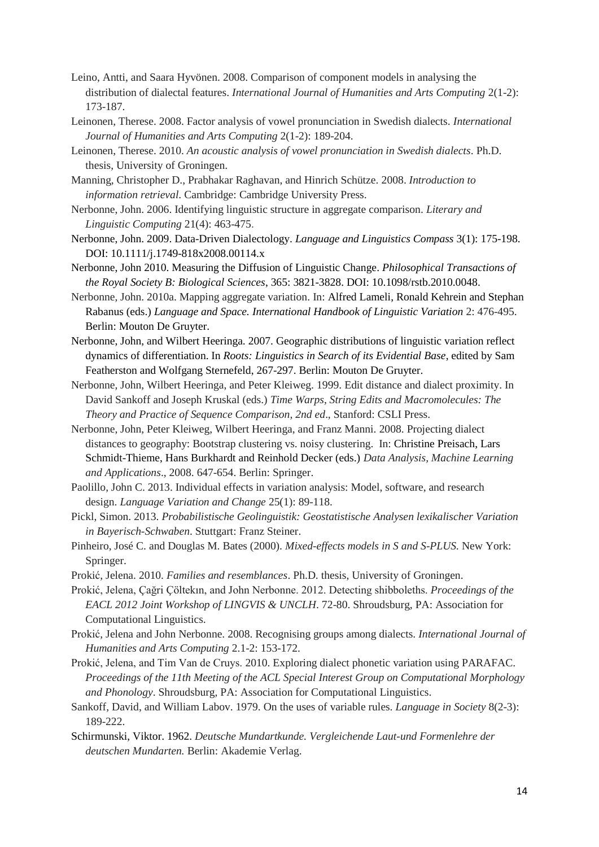- Leino, Antti, and Saara Hyvönen. 2008. Comparison of component models in analysing the distribution of dialectal features. *International Journal of Humanities and Arts Computing* 2(1-2): 173-187.
- Leinonen, Therese. 2008. Factor analysis of vowel pronunciation in Swedish dialects. *International Journal of Humanities and Arts Computing* 2(1-2): 189-204.
- Leinonen, Therese. 2010. *An acoustic analysis of vowel pronunciation in Swedish dialects*. Ph.D. thesis, University of Groningen.
- Manning, Christopher D., Prabhakar Raghavan, and Hinrich Schütze. 2008. *Introduction to information retrieval*. Cambridge: Cambridge University Press.
- Nerbonne, John. 2006. Identifying linguistic structure in aggregate comparison. *Literary and Linguistic Computing* 21(4): 463-475.
- Nerbonne, John. 2009. Data-Driven Dialectology. *Language and Linguistics Compass* 3(1): 175-198. DOI: 10.1111/j.1749-818x2008.00114.x
- Nerbonne, John 2010. Measuring the Diffusion of Linguistic Change. *Philosophical Transactions of the Royal Society B: Biological Sciences*, 365: 3821-3828. DOI: 10.1098/rstb.2010.0048.
- Nerbonne, John. 2010a. Mapping aggregate variation. In: Alfred Lameli, Ronald Kehrein and Stephan Rabanus (eds.) *Language and Space. International Handbook of Linguistic Variation* 2: 476-495. Berlin: Mouton De Gruyter.
- Nerbonne, John, and Wilbert Heeringa. 2007. Geographic distributions of linguistic variation reflect dynamics of differentiation. In *Roots: Linguistics in Search of its Evidential Base*, edited by Sam Featherston and Wolfgang Sternefeld, 267-297. Berlin: Mouton De Gruyter.
- Nerbonne, John, Wilbert Heeringa, and Peter Kleiweg. 1999. Edit distance and dialect proximity. In David Sankoff and Joseph Kruskal (eds.) *Time Warps, String Edits and Macromolecules: The Theory and Practice of Sequence Comparison, 2nd ed*., Stanford: CSLI Press.
- Nerbonne, John, Peter Kleiweg, Wilbert Heeringa, and Franz Manni. 2008. Projecting dialect distances to geography: Bootstrap clustering vs. noisy clustering. In: Christine Preisach, Lars Schmidt-Thieme, Hans Burkhardt and Reinhold Decker (eds.) *Data Analysis, Machine Learning and Applications*., 2008. 647-654. Berlin: Springer.
- Paolillo, John C. 2013. Individual effects in variation analysis: Model, software, and research design. *Language Variation and Change* 25(1): 89-118.
- Pickl, Simon. 2013. *Probabilistische Geolinguistik: Geostatistische Analysen lexikalischer Variation in Bayerisch-Schwaben*. Stuttgart: Franz Steiner.
- Pinheiro, José C. and Douglas M. Bates (2000). *Mixed-effects models in S and S-PLUS.* New York: Springer.
- Prokić, Jelena. 2010. *Families and resemblances*. Ph.D. thesis, University of Groningen.
- Prokić, Jelena, Çağri Çöltekın, and John Nerbonne. 2012. Detecting shibboleths. *Proceedings of the EACL 2012 Joint Workshop of LINGVIS & UNCLH*. 72-80. Shroudsburg, PA: Association for Computational Linguistics.
- Prokić, Jelena and John Nerbonne. 2008. Recognising groups among dialects. *International Journal of Humanities and Arts Computing* 2.1-2: 153-172.
- Prokić, Jelena, and Tim Van de Cruys. 2010. Exploring dialect phonetic variation using PARAFAC. *Proceedings of the 11th Meeting of the ACL Special Interest Group on Computational Morphology and Phonology*. Shroudsburg, PA: Association for Computational Linguistics.
- Sankoff, David, and William Labov. 1979. On the uses of variable rules. *Language in Society* 8(2-3): 189-222.
- Schirmunski, Viktor. 1962. *Deutsche Mundartkunde. Vergleichende Laut-und Formenlehre der deutschen Mundarten.* Berlin: Akademie Verlag.